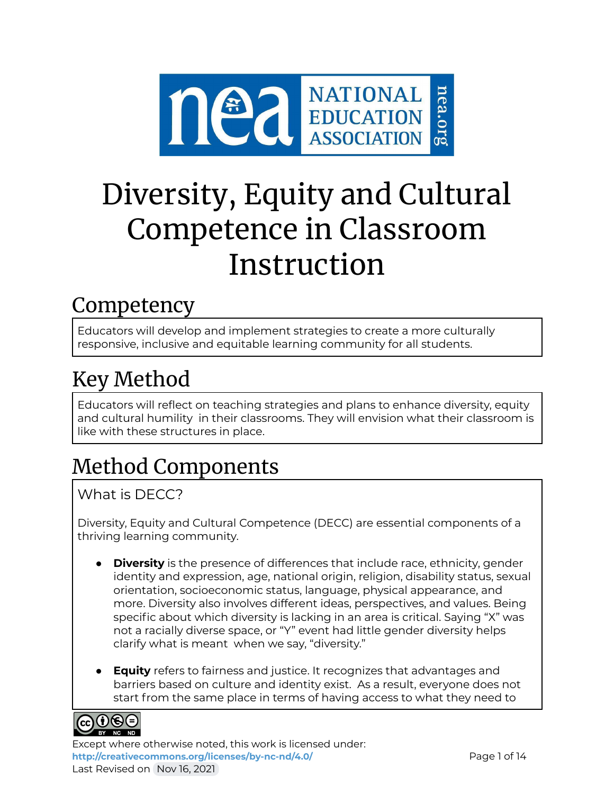

# Diversity, Equity and Cultural Competence in Classroom Instruction

### Competency

Educators will develop and implement strategies to create a more culturally responsive, inclusive and equitable learning community for all students.

## Key Method

Educators will reflect on teaching strategies and plans to enhance diversity, equity and cultural humility in their classrooms. They will envision what their classroom is like with these structures in place.

## Method Components

### What is DECC?

Diversity, Equity and Cultural Competence (DECC) are essential components of a thriving learning community.

- **Diversity** is the presence of differences that include race, ethnicity, gender identity and expression, age, national origin, religion, disability status, sexual orientation, socioeconomic status, language, physical appearance, and more. Diversity also involves different ideas, perspectives, and values. Being specific about which diversity is lacking in an area is critical. Saying "X" was not a racially diverse space, or "Y" event had little gender diversity helps clarify what is meant when we say, "diversity."
- **Equity** refers to fairness and justice. It recognizes that advantages and barriers based on culture and identity exist. As a result, everyone does not start from the same place in terms of having access to what they need to



Except where otherwise noted, this work is licensed under: <http://creativecommons.org/licenses/by-nc-nd/4.0/> **Page 1 of 14** Last Revised on Nov 16, 2021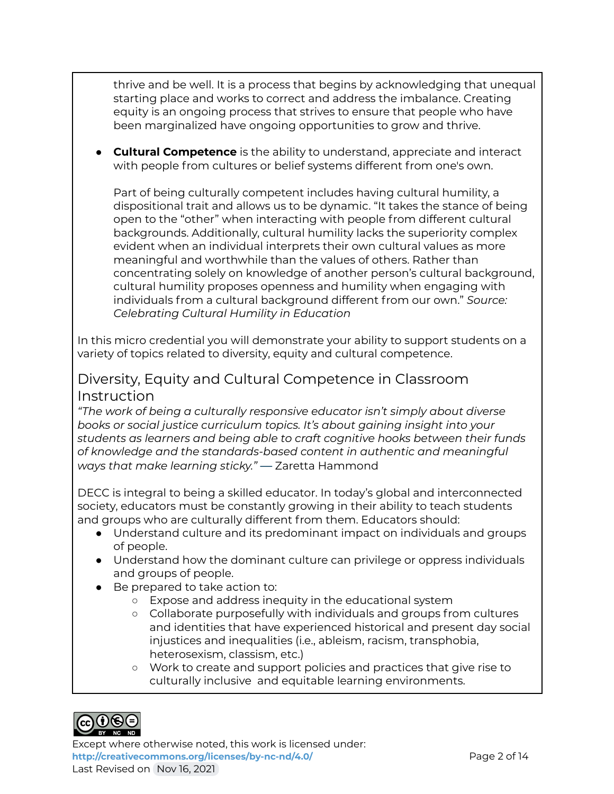thrive and be well. It is a process that begins by acknowledging that unequal starting place and works to correct and address the imbalance. Creating equity is an ongoing process that strives to ensure that people who have been marginalized have ongoing opportunities to grow and thrive.

● **Cultural Competence** is the ability to understand, appreciate and interact with people from cultures or belief systems different from one's own.

Part of being culturally competent includes having cultural humility, a dispositional trait and allows us to be dynamic. "It takes the stance of being open to the "other" when interacting with people from different cultural backgrounds. Additionally, cultural humility lacks the superiority complex evident when an individual interprets their own cultural values as more meaningful and worthwhile than the values of others. Rather than concentrating solely on knowledge of another person's cultural background, cultural humility proposes openness and humility when engaging with individuals from a cultural background different from our own." *Source: Celebrating Cultural Humility in Education*

In this micro credential you will demonstrate your ability to support students on a variety of topics related to diversity, equity and cultural competence.

### Diversity, Equity and Cultural Competence in Classroom Instruction

*"The work of being a culturally responsive educator isn't simply about diverse books or social justice curriculum topics. It's about gaining insight into your students as learners and being able to craft cognitive hooks between their funds of knowledge and the standards-based content in authentic and meaningful ways that make learning sticky."* — Zaretta Hammond

DECC is integral to being a skilled educator. In today's global and interconnected society, educators must be constantly growing in their ability to teach students and groups who are culturally different from them. Educators should:

- Understand culture and its predominant impact on individuals and groups of people.
- Understand how the dominant culture can privilege or oppress individuals and groups of people.
- Be prepared to take action to:
	- Expose and address inequity in the educational system
	- Collaborate purposefully with individuals and groups from cultures and identities that have experienced historical and present day social injustices and inequalities (i.e., ableism, racism, transphobia, heterosexism, classism, etc.)
	- Work to create and support policies and practices that give rise to culturally inclusive and equitable learning environments.



Except where otherwise noted, this work is licensed under: <http://creativecommons.org/licenses/by-nc-nd/4.0/><br>Page 2 of 14 Last Revised on Nov 16, 2021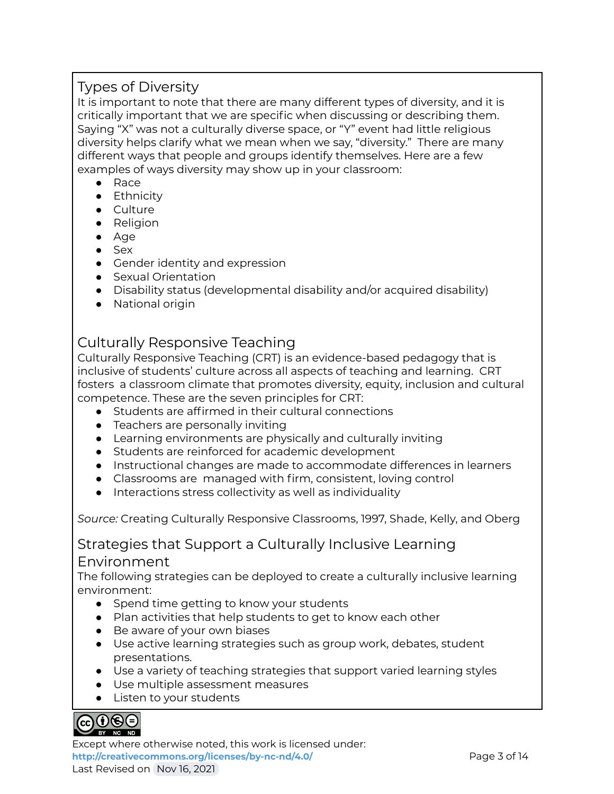### Types of Diversity

It is important to note that there are many different types of diversity, and it is critically important that we are specific when discussing or describing them. Saying "X" was not a culturally diverse space, or "Y" event had little religious diversity helps clarify what we mean when we say, "diversity." There are many different ways that people and groups identify themselves. Here are a few examples of ways diversity may show up in your classroom:

- Race
- Ethnicity
- Culture
- Religion
- Age
- Sex
- Gender identity and expression
- Sexual Orientation
- Disability status (developmental disability and/or acquired disability)
- National origin

### Culturally Responsive Teaching

Culturally Responsive Teaching (CRT) is an evidence-based pedagogy that is inclusive of students' culture across all aspects of teaching and learning. CRT fosters a classroom climate that promotes diversity, equity, inclusion and cultural competence. These are the seven principles for CRT:

- Students are affirmed in their cultural connections
- Teachers are personally inviting
- Learning environments are physically and culturally inviting
- Students are reinforced for academic development
- Instructional changes are made to accommodate differences in learners
- Classrooms are managed with firm, consistent, loving control
- Interactions stress collectivity as well as individuality

*Source:* Creating Culturally Responsive Classrooms, 1997, Shade, Kelly, and Oberg

### Strategies that Support a Culturally Inclusive Learning Environment

The following strategies can be deployed to create a culturally inclusive learning environment:

- Spend time getting to know your students
- Plan activities that help students to get to know each other
- Be aware of your own biases
- Use active learning strategies such as group work, debates, student presentations.
- Use a variety of teaching strategies that support varied learning styles
- Use multiple assessment measures
- Listen to your students

#### ெ⊕ெ BY NC ND

Except where otherwise noted, this work is licensed under: <http://creativecommons.org/licenses/by-nc-nd/4.0/><br>
Page 3 of 14 Last Revised on Nov 16, 2021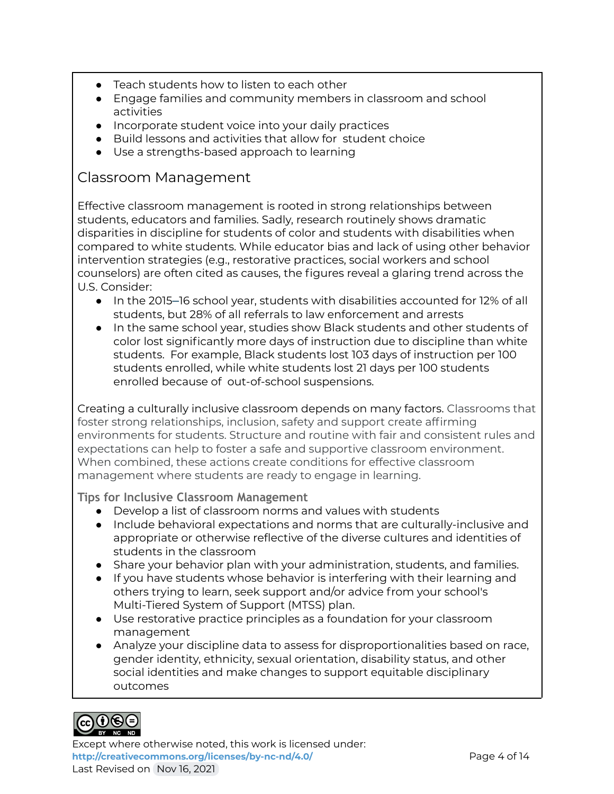- Teach students how to listen to each other
- Engage families and community members in classroom and school activities
- Incorporate student voice into your daily practices
- Build lessons and activities that allow for student choice
- Use a strengths-based approach to learning

### Classroom Management

Effective classroom management is rooted in strong relationships between students, educators and families. Sadly, research routinely shows dramatic disparities in discipline for students of color and students with disabilities when compared to white students. While educator bias and lack of using other behavior intervention strategies (e.g., restorative practices, social workers and school counselors) are often cited as causes, the figures reveal a glaring trend across the U.S. Consider:

- In the 2015–16 school year, students with disabilities accounted for 12% of all students, but 28% of all referrals to law enforcement and arrests
- In the same school year, studies show Black students and other students of color lost significantly more days of instruction due to discipline than white students. For example, Black students lost 103 days of instruction per 100 students enrolled, while white students lost 21 days per 100 students enrolled because of out-of-school suspensions.

Creating a culturally inclusive classroom depends on many factors. Classrooms that foster strong relationships, inclusion, safety and support create affirming environments for students. Structure and routine with fair and consistent rules and expectations can help to foster a safe and supportive classroom environment. When combined, these actions create conditions for effective classroom management where students are ready to engage in learning.

**Tips for Inclusive Classroom Management**

- Develop a list of classroom norms and values with students
- Include behavioral expectations and norms that are culturally-inclusive and appropriate or otherwise reflective of the diverse cultures and identities of students in the classroom
- Share your behavior plan with your administration, students, and families.
- If you have students whose behavior is interfering with their learning and others trying to learn, seek support and/or advice from your school's Multi-Tiered System of Support (MTSS) plan.
- Use restorative practice principles as a foundation for your classroom management
- Analyze your discipline data to assess for disproportionalities based on race, gender identity, ethnicity, sexual orientation, disability status, and other social identities and make changes to support equitable disciplinary outcomes



Except where otherwise noted, this work is licensed under: <http://creativecommons.org/licenses/by-nc-nd/4.0/><br>Page 4 of 14 Last Revised on Nov 16, 2021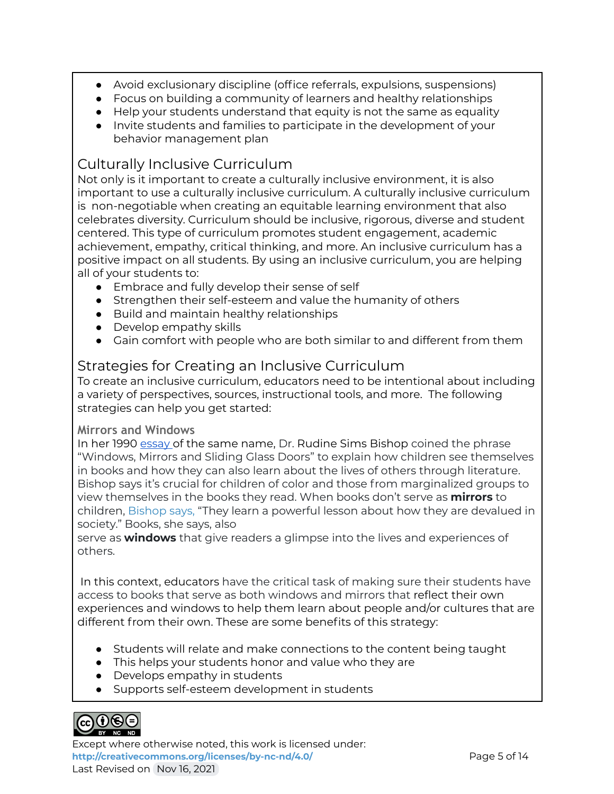- Avoid exclusionary discipline (office referrals, expulsions, suspensions)
- Focus on building a community of learners and healthy relationships
- Help your students understand that equity is not the same as equality
- Invite students and families to participate in the development of your behavior management plan

### Culturally Inclusive Curriculum

Not only is it important to create a culturally inclusive environment, it is also important to use a culturally inclusive curriculum. A culturally inclusive curriculum is non-negotiable when creating an equitable learning environment that also celebrates diversity. Curriculum should be inclusive, rigorous, diverse and student centered. This type of curriculum promotes student engagement, academic achievement, empathy, critical thinking, and more. An inclusive curriculum has a positive impact on all students. By using an inclusive curriculum, you are helping all of your students to:

- Embrace and fully develop their sense of self
- Strengthen their self-esteem and value the humanity of others
- Build and maintain healthy relationships
- Develop empathy skills
- Gain comfort with people who are both similar to and different from them

### Strategies for Creating an Inclusive Curriculum

To create an inclusive curriculum, educators need to be intentional about including a variety of perspectives, sources, instructional tools, and more. The following strategies can help you get started:

### **Mirrors and Windows**

In her 1990 [essay](https://scenicregional.org/wp-content/uploads/2017/08/Mirrors-Windows-and-Sliding-Glass-Doors.pdf) of the same name, Dr. Rudine Sims Bishop coined the phrase "Windows, Mirrors and Sliding Glass Doors" to explain how children see themselves in books and how they can also learn about the lives of others through literature. Bishop says it's crucial for children of color and those from marginalized groups to view themselves in the books they read. When books don't serve as **mirrors** to children, [Bishop](https://scenicregional.org/wp-content/uploads/2017/08/Mirrors-Windows-and-Sliding-Glass-Doors.pdf) says, "They learn a powerful lesson about how they are devalued in society." Books, she says, also

serve as **windows** that give readers a glimpse into the lives and experiences of others.

In this context, educators have the critical task of making sure their students have access to books that serve as both windows and mirrors that reflect their own experiences and windows to help them learn about people and/or cultures that are different from their own. These are some benefits of this strategy:

- Students will relate and make connections to the content being taught
- This helps your students honor and value who they are
- Develops empathy in students
- Supports self-esteem development in students



Except where otherwise noted, this work is licensed under: **<http://creativecommons.org/licenses/by-nc-nd/4.0/>** Page 5 of 14 Last Revised on Nov 16, 2021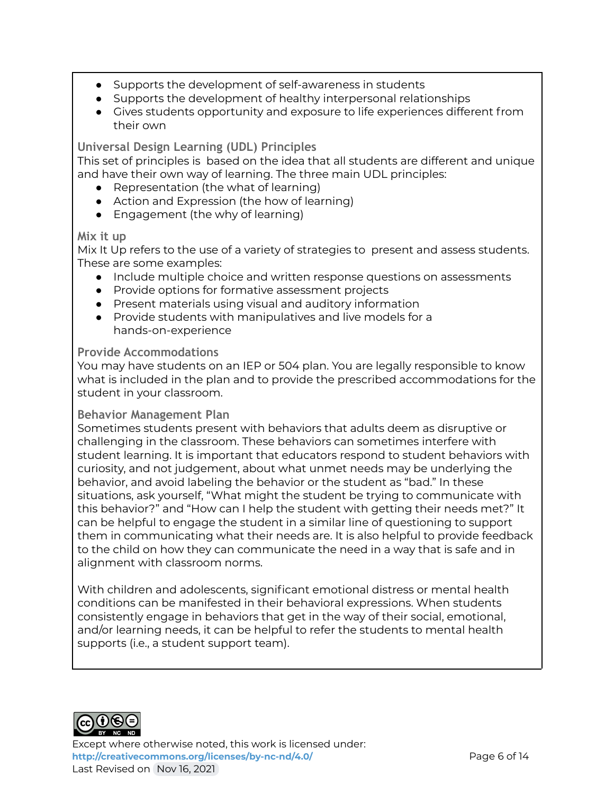- Supports the development of self-awareness in students
- Supports the development of healthy interpersonal relationships
- Gives students opportunity and exposure to life experiences different from their own

**Universal Design Learning (UDL) Principles**

This set of principles is based on the idea that all students are different and unique and have their own way of learning. The three main UDL principles:

- Representation (the what of learning)
- Action and Expression (the how of learning)
- Engagement (the why of learning)

### **Mix it up**

Mix It Up refers to the use of a variety of strategies to present and assess students. These are some examples:

- Include multiple choice and written response questions on assessments
- Provide options for formative assessment projects
- Present materials using visual and auditory information
- Provide students with manipulatives and live models for a hands-on-experience

### **Provide Accommodations**

You may have students on an IEP or 504 plan. You are legally responsible to know what is included in the plan and to provide the prescribed accommodations for the student in your classroom.

#### **Behavior Management Plan**

Sometimes students present with behaviors that adults deem as disruptive or challenging in the classroom. These behaviors can sometimes interfere with student learning. It is important that educators respond to student behaviors with curiosity, and not judgement, about what unmet needs may be underlying the behavior, and avoid labeling the behavior or the student as "bad." In these situations, ask yourself, "What might the student be trying to communicate with this behavior?" and "How can I help the student with getting their needs met?" It can be helpful to engage the student in a similar line of questioning to support them in communicating what their needs are. It is also helpful to provide feedback to the child on how they can communicate the need in a way that is safe and in alignment with classroom norms.

With children and adolescents, significant emotional distress or mental health conditions can be manifested in their behavioral expressions. When students consistently engage in behaviors that get in the way of their social, emotional, and/or learning needs, it can be helpful to refer the students to mental health supports (i.e., a student support team).



Except where otherwise noted, this work is licensed under: <http://creativecommons.org/licenses/by-nc-nd/4.0/><br>
Page 6 of 14 Last Revised on Nov 16, 2021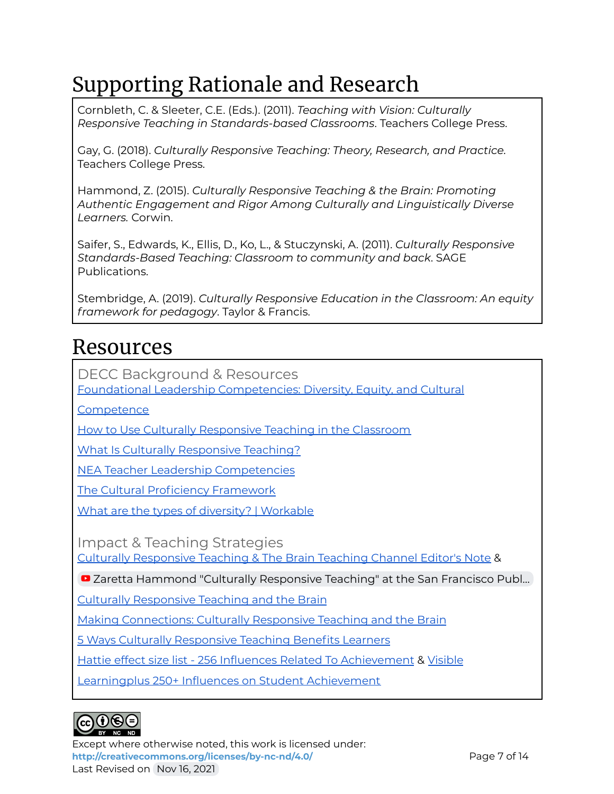## Supporting Rationale and Research

Cornbleth, C. & Sleeter, C.E. (Eds.). (2011). *Teaching with Vision: Culturally Responsive Teaching in Standards-based Classrooms*. Teachers College Press.

Gay, G. (2018). *Culturally Responsive Teaching: Theory, Research, and Practice.* Teachers College Press.

Hammond, Z. (2015). *Culturally Responsive Teaching & the Brain: Promoting Authentic Engagement and Rigor Among Culturally and Linguistically Diverse Learners.* Corwin.

Saifer, S., Edwards, K., Ellis, D., Ko, L., & Stuczynski, A. (2011). *Culturally Responsive Standards-Based Teaching: Classroom to community and back*. SAGE Publications.

Stembridge, A. (2019). *Culturally Responsive Education in the Classroom: An equity framework for pedagogy*. Taylor & Francis.

### Resources

DECC Background & Resources

Foundational Leadership [Competencies:](https://www.teacherleadershipinstitute.org/competencies/foundational-leadership-competencies-diversity-equity-and-cultural-competence/) Diversity, Equity, and Cultural

**[Competence](https://www.teacherleadershipinstitute.org/competencies/foundational-leadership-competencies-diversity-equity-and-cultural-competence/)** 

How to Use Culturally [Responsive](https://www.understood.org/en/school-learning/for-educators/universal-design-for-learning/how-to-use-culturally-responsive-teaching-in-the-classroom) Teaching in the Classroom

What Is Culturally [Responsive](https://www.understood.org/en/school-learning/for-educators/universal-design-for-learning/what-is-culturally-responsive-teaching) Teaching?

NEA Teacher Leadership [Competencies](https://www.teacherleadershipinstitute.org/competencies/foundational-leadership-competencies-diversity-equity-and-cultural-competence/)

The Cultural Proficiency [Framework](http://www.teacherleadershipinstitute.org/wp-content/uploads/2015/03/Cultural-Proficiency-Framework.pdf)

What are the types of diversity? | [Workable](https://resources.workable.com/hr-terms/the-types-of-diversity)

Impact & Teaching Strategies

Culturally [Responsive](https://www.teachingchannel.com/blog/culturally-responsive-teaching-brain) Teaching & The Brain Teaching Channel Editor's Note &

■ Zaretta Hammond "Culturally [Responsive](https://www.youtube.com/watch?v=ME8KjqyqthM) Teaching" at the San Francisco Publ...

Culturally [Responsive](https://www.blogtalkradio.com/anewkindofpd/2016/10/06/episode-2-culturally-responsive-teaching-the-brain) Teaching and the Brain

Making [Connections:](https://www.edutopia.org/blog/making-connections-culturally-responsive-teaching-and-brain-elena-aguilar) Culturally Responsive Teaching and the Brain

5 Ways Culturally [Responsive](https://www.newamerica.org/education-policy/edcentral/5-ways-culturally-responsive-teaching-benefits-learners/) Teaching Benefits Learners

Hattie effect size list - 256 Influences Related To [Achievement](https://visible-learning.org/hattie-ranking-influences-effect-sizes-learning-achievement/) & [Visible](https://visible-learning.org/wp-content/uploads/2018/03/VLPLUS-252-Influences-Hattie-ranking-DEC-2017.pdf)

Learningplus 250+ Influences on Student [Achievement](https://visible-learning.org/wp-content/uploads/2018/03/VLPLUS-252-Influences-Hattie-ranking-DEC-2017.pdf)



Except where otherwise noted, this work is licensed under: <http://creativecommons.org/licenses/by-nc-nd/4.0/><br>Page 7 of 14 Last Revised on Nov 16, 2021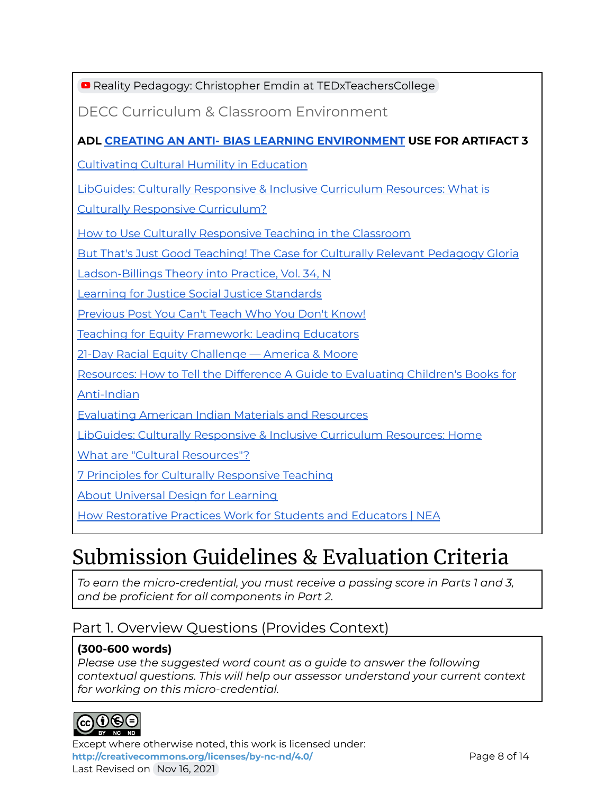**Reality Pedagogy: Christopher Emdin at [TEDxTeachersCollege](https://youtu.be/2Y9tVf_8fqo)** 

DECC Curriculum & Classroom Environment

### **ADL CREATING AN ANTI- BIAS LEARNING [ENVIRONMENT](https://www.adl.org/media/2182/download) USE FOR ARTIFACT 3**

[Cultivating](https://online.fliphtml5.com/ohmg/nocs/#p=1) Cultural Humility in Education

LibGuides: Culturally [Responsive](https://guides.library.pdx.edu/c.php?g=527355&p=3623937) & Inclusive Curriculum Resources: What is

Culturally Responsive [Curriculum?](https://guides.library.pdx.edu/c.php?g=527355&p=3623937)

How to Use Culturally [Responsive](https://www.understood.org/en/school-learning/for-educators/universal-design-for-learning/how-to-use-culturally-responsive-teaching-in-the-classroom) Teaching in the Classroom

But That's Just Good Teaching! The Case for Culturally Relevant [Pedagogy](https://nationalequityproject.files.wordpress.com/2012/03/ladson-billings_1995.pdf) Gloria

[Ladson-Billings](https://nationalequityproject.files.wordpress.com/2012/03/ladson-billings_1995.pdf) Theory into Practice, Vol. 34, N

Learning for Justice Social Justice [Standards](https://www.learningforjustice.org/frameworks/social-justice-standards)

[Previous](http://newyorkschooltalk.org/2020/03/you-cant-teach-who-you-dont-know/) Post You Can't Teach Who You Don't Know!

Teaching for Equity [Framework:](https://mcusercontent.com/7cdb7361dedc73544e613b492/files/6f69ff14-83c2-4bdf-8b79-4ff6d69153dd/Teaching_for_Equity_Framework_Leading_Educators.pdf) Leading Educators

21-Day Racial Equity [Challenge](https://www.eddiemoorejr.com/21daychallenge) — America & Moore

[Resources:](http://oyate.org/index.php/resources/41-resources/how-to-tell-the-difference) How to Tell the Difference A Guide to Evaluating Children's Books for

[Anti-Indian](http://oyate.org/index.php/resources/41-resources/how-to-tell-the-difference)

[Evaluating](http://opi.mt.gov/Portals/182/Page%20Files/Indian%20Education/Indian%20Education%20101/Evaluating%20AI%20Materials%20and%20Resources%20for%20the%20Classroom.pdf) American Indian Materials and Resources

LibGuides: Culturally [Responsive](https://guides.library.pdx.edu/culturallyresponsivecurriculum) & Inclusive Curriculum Resources: Home

What are "Cultural [Resources"?](https://www.npi.org/what-are-cultural-resources)

7 Principles for Culturally [Responsive](https://www.educatored.com/CourseResource/course/103993/681656/ce5dbb6a681e4fab90324a915da8f897_Seven%20Principles%20for%20Culturally%20Responsive%20Teaching.pdf) Teaching

About [Universal](https://www.cast.org/impact/universal-design-for-learning-udl) Design for Learning

How [Restorative](https://www.nea.org/advocating-for-change/new-from-nea/how-restorative-practices-work-students-and-educators) Practices Work for Students and Educators | NEA

### Submission Guidelines & Evaluation Criteria

*To earn the micro-credential, you must receive a passing score in Parts 1 and 3, and be proficient for all components in Part 2.*

### Part 1. Overview Questions (Provides Context)

### **(300-600 words)**

*Please use the suggested word count as a guide to answer the following contextual questions. This will help our assessor understand your current context for working on this micro-credential.*



Except where otherwise noted, this work is licensed under: <http://creativecommons.org/licenses/by-nc-nd/4.0/><br>
Page 8 of 14 Last Revised on Nov 16, 2021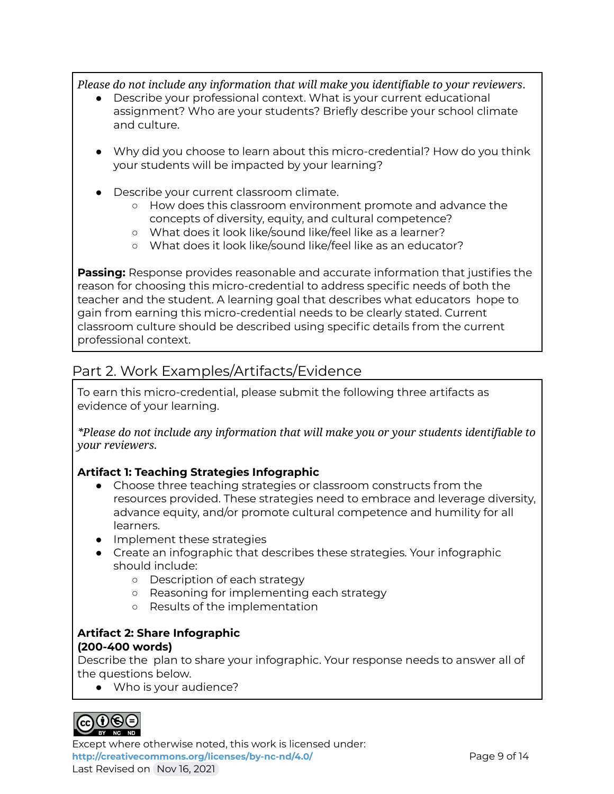*Please do not include any information that will make you identifiable to your reviewers*.

- Describe your professional context. What is your current educational assignment? Who are your students? Briefly describe your school climate and culture.
- Why did you choose to learn about this micro-credential? How do you think your students will be impacted by your learning?
- Describe your current classroom climate.
	- How does this classroom environment promote and advance the concepts of diversity, equity, and cultural competence?
	- What does it look like/sound like/feel like as a learner?
	- What does it look like/sound like/feel like as an educator?

**Passing:** Response provides reasonable and accurate information that justifies the reason for choosing this micro-credential to address specific needs of both the teacher and the student. A learning goal that describes what educators hope to gain from earning this micro-credential needs to be clearly stated. Current classroom culture should be described using specific details from the current professional context.

### Part 2. Work Examples/Artifacts/Evidence

To earn this micro-credential, please submit the following three artifacts as evidence of your learning.

*\*Please do not include any information that will make you or your students identifiable to your reviewers.*

### **Artifact 1: Teaching Strategies Infographic**

- Choose three teaching strategies or classroom constructs from the resources provided. These strategies need to embrace and leverage diversity, advance equity, and/or promote cultural competence and humility for all learners.
- Implement these strategies
- Create an infographic that describes these strategies. Your infographic should include:
	- Description of each strategy
	- Reasoning for implementing each strategy
	- Results of the implementation

#### **Artifact 2: Share Infographic (200-400 words)**

Describe the plan to share your infographic. Your response needs to answer all of the questions below.

● Who is your audience?



Except where otherwise noted, this work is licensed under: **<http://creativecommons.org/licenses/by-nc-nd/4.0/>** Page 9 of 14 Last Revised on Nov 16, 2021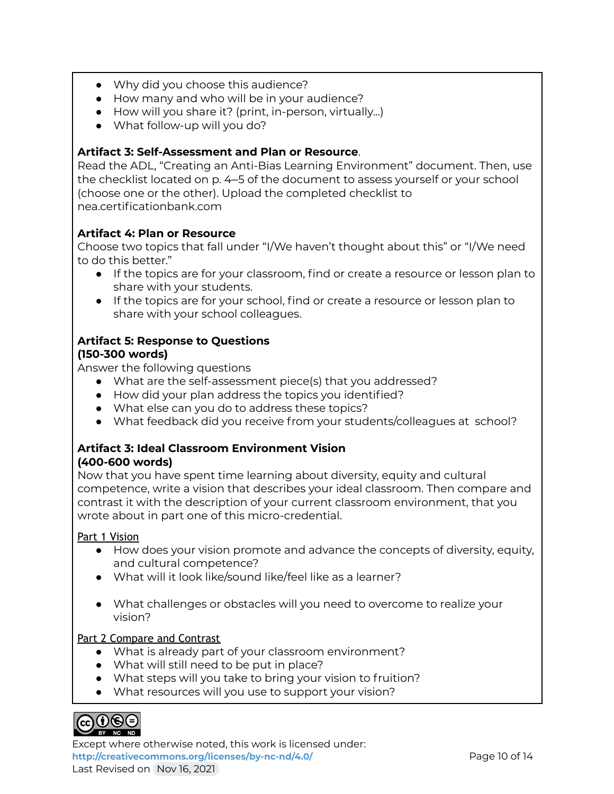- Why did you choose this audience?
- How many and who will be in your audience?
- How will you share it? (print, in-person, virtually...)
- What follow-up will you do?

### **Artifact 3: Self-Assessment and Plan or Resource**.

Read the ADL, "Creating an Anti-Bias Learning Environment" document. Then, use the checklist located on p. 4–5 of the document to assess yourself or your school (choose one or the other). Upload the completed checklist to nea.certificationbank.com

### **Artifact 4: Plan or Resource**

Choose two topics that fall under "I/We haven't thought about this" or "I/We need to do this better."

- If the topics are for your classroom, find or create a resource or lesson plan to share with your students.
- If the topics are for your school, find or create a resource or lesson plan to share with your school colleagues.

### **Artifact 5: Response to Questions (150-300 words)**

Answer the following questions

- What are the self-assessment piece(s) that you addressed?
- How did your plan address the topics you identified?
- What else can you do to address these topics?
- What feedback did you receive from your students/colleagues at school?

### **Artifact 3: Ideal Classroom Environment Vision (400-600 words)**

Now that you have spent time learning about diversity, equity and cultural competence, write a vision that describes your ideal classroom. Then compare and contrast it with the description of your current classroom environment, that you wrote about in part one of this micro-credential.

### Part 1 Vision

- How does your vision promote and advance the concepts of diversity, equity, and cultural competence?
- What will it look like/sound like/feel like as a learner?
- What challenges or obstacles will you need to overcome to realize your vision?

### Part 2 Compare and Contrast

- What is already part of your classroom environment?
- What will still need to be put in place?
- What steps will you take to bring your vision to fruition?
- What resources will you use to support your vision?



Except where otherwise noted, this work is licensed under: <http://creativecommons.org/licenses/by-nc-nd/4.0/><br>Page 10 of 14 Last Revised on Nov 16, 2021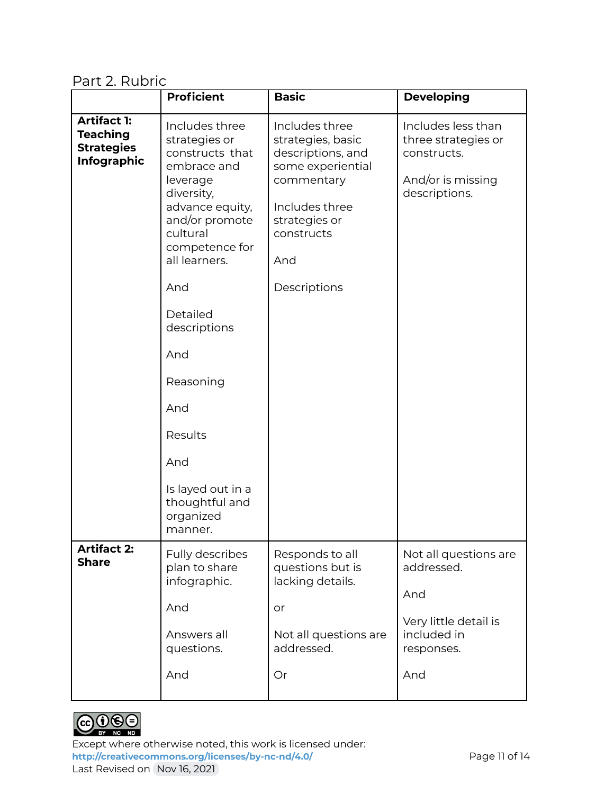Part 2. Rubric

|                                                                                  | <b>Proficient</b>                                                                                                                                                                                  | <b>Basic</b>                                                                                                                                                        | <b>Developing</b>                                                                                       |
|----------------------------------------------------------------------------------|----------------------------------------------------------------------------------------------------------------------------------------------------------------------------------------------------|---------------------------------------------------------------------------------------------------------------------------------------------------------------------|---------------------------------------------------------------------------------------------------------|
| <b>Artifact 1:</b><br><b>Teaching</b><br><b>Strategies</b><br><b>Infographic</b> | Includes three<br>strategies or<br>constructs that<br>embrace and<br>leverage<br>diversity,<br>advance equity,<br>and/or promote<br>cultural<br>competence for<br>all learners.<br>And<br>Detailed | Includes three<br>strategies, basic<br>descriptions, and<br>some experiential<br>commentary<br>Includes three<br>strategies or<br>constructs<br>And<br>Descriptions | Includes less than<br>three strategies or<br>constructs.<br>And/or is missing<br>descriptions.          |
|                                                                                  | descriptions<br>And<br>Reasoning<br>And<br>Results<br>And<br>Is layed out in a<br>thoughtful and<br>organized<br>manner.                                                                           |                                                                                                                                                                     |                                                                                                         |
| <b>Artifact 2:</b><br><b>Share</b>                                               | Fully describes<br>plan to share<br>infographic.<br>And<br>Answers all<br>questions.<br>And                                                                                                        | Responds to all<br>questions but is<br>lacking details.<br>or<br>Not all questions are<br>addressed.<br>Or                                                          | Not all questions are<br>addressed.<br>And<br>Very little detail is<br>included in<br>responses.<br>And |



Except where otherwise noted, this work is licensed under: <http://creativecommons.org/licenses/by-nc-nd/4.0/><br>Page 11 of 14 Last Revised on Nov 16, 2021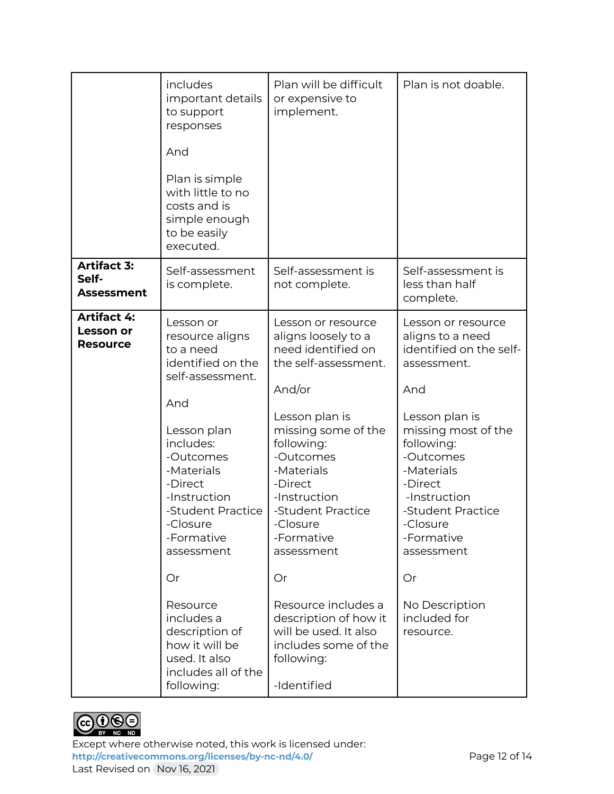|                                                    | includes<br>important details<br>to support<br>responses<br>And<br>Plan is simple<br>with little to no<br>costs and is<br>simple enough<br>to be easily<br>executed.                                                                           | Plan will be difficult<br>or expensive to<br>implement.                                                                                                                                                                                                                           | Plan is not doable.                                                                                                                                                                                                                                                     |
|----------------------------------------------------|------------------------------------------------------------------------------------------------------------------------------------------------------------------------------------------------------------------------------------------------|-----------------------------------------------------------------------------------------------------------------------------------------------------------------------------------------------------------------------------------------------------------------------------------|-------------------------------------------------------------------------------------------------------------------------------------------------------------------------------------------------------------------------------------------------------------------------|
| <b>Artifact 3:</b><br>Self-<br>Assessment          | Self-assessment<br>is complete.                                                                                                                                                                                                                | Self-assessment is<br>not complete.                                                                                                                                                                                                                                               | Self-assessment is<br>less than half<br>complete.                                                                                                                                                                                                                       |
| <b>Artifact 4:</b><br>Lesson or<br><b>Resource</b> | Lesson or<br>resource aligns<br>to a need<br>identified on the<br>self-assessment.<br>And<br>Lesson plan<br>includes:<br>-Outcomes<br>-Materials<br>-Direct<br>-Instruction<br>-Student Practice<br>-Closure<br>-Formative<br>assessment<br>Or | Lesson or resource<br>aligns loosely to a<br>need identified on<br>the self-assessment.<br>And/or<br>Lesson plan is<br>missing some of the<br>following:<br>-Outcomes<br>-Materials<br>-Direct<br>-Instruction<br>-Student Practice<br>-Closure<br>-Formative<br>assessment<br>Or | Lesson or resource<br>aligns to a need<br>identified on the self-<br>assessment.<br>And<br>Lesson plan is<br>missing most of the<br>following:<br>-Outcomes<br>-Materials<br>-Direct<br>-Instruction<br>-Student Practice<br>-Closure<br>-Formative<br>assessment<br>Or |
|                                                    | Resource<br>includes a<br>description of<br>how it will be<br>used. It also<br>includes all of the<br>following:                                                                                                                               | Resource includes a<br>description of how it<br>will be used. It also<br>includes some of the<br>following:<br>-Identified                                                                                                                                                        | No Description<br>included for<br>resource.                                                                                                                                                                                                                             |



Except where otherwise noted, this work is licensed under: <http://creativecommons.org/licenses/by-nc-nd/4.0/><br>Page 12 of 14 Last Revised on Nov 16, 2021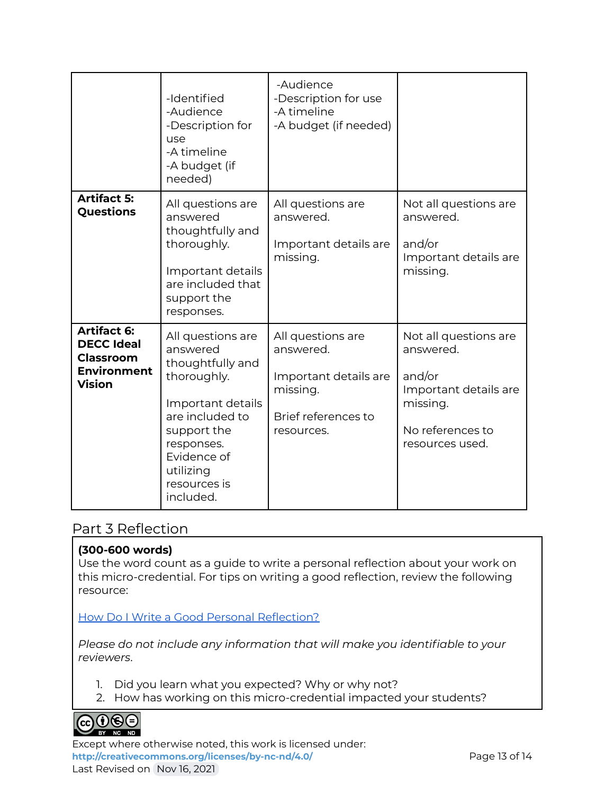|                                                                                                    | -Identified<br>-Audience<br>-Description for<br>use<br>-A timeline<br>-A budget (if<br>needed)                                                                                                 | -Audience<br>-Description for use<br>-A timeline<br>-A budget (if needed)                                |                                                                                                                          |
|----------------------------------------------------------------------------------------------------|------------------------------------------------------------------------------------------------------------------------------------------------------------------------------------------------|----------------------------------------------------------------------------------------------------------|--------------------------------------------------------------------------------------------------------------------------|
| <b>Artifact 5:</b><br>Questions                                                                    | All questions are<br>answered<br>thoughtfully and<br>thoroughly.<br>Important details<br>are included that<br>support the<br>responses.                                                        | All questions are<br>answered.<br>Important details are<br>missing.                                      | Not all questions are<br>answered.<br>and/or<br>Important details are<br>missing.                                        |
| <b>Artifact 6:</b><br><b>DECC Ideal</b><br><b>Classroom</b><br><b>Environment</b><br><b>Vision</b> | All questions are<br>answered<br>thoughtfully and<br>thoroughly.<br>Important details<br>are included to<br>support the<br>responses.<br>Evidence of<br>utilizing<br>resources is<br>included. | All questions are<br>answered.<br>Important details are<br>missing.<br>Brief references to<br>resources. | Not all questions are<br>answered.<br>and/or<br>Important details are<br>missing.<br>No references to<br>resources used. |

### Part 3 Reflection

### **(300-600 words)**

Use the word count as a guide to write a personal reflection about your work on this micro-credential. For tips on writing a good reflection, review the following resource:

How Do I Write a Good Personal [Reflection?](https://isthismystory.com/learning/how-do-i-write-a-good-personal-reflection/)

*Please do not include any information that will make you identifiable to your reviewers*.

- 1. Did you learn what you expected? Why or why not?
- 2. How has working on this micro-credential impacted your students?



Except where otherwise noted, this work is licensed under: <http://creativecommons.org/licenses/by-nc-nd/4.0/><br>Page 13 of 14 Last Revised on Nov 16, 2021